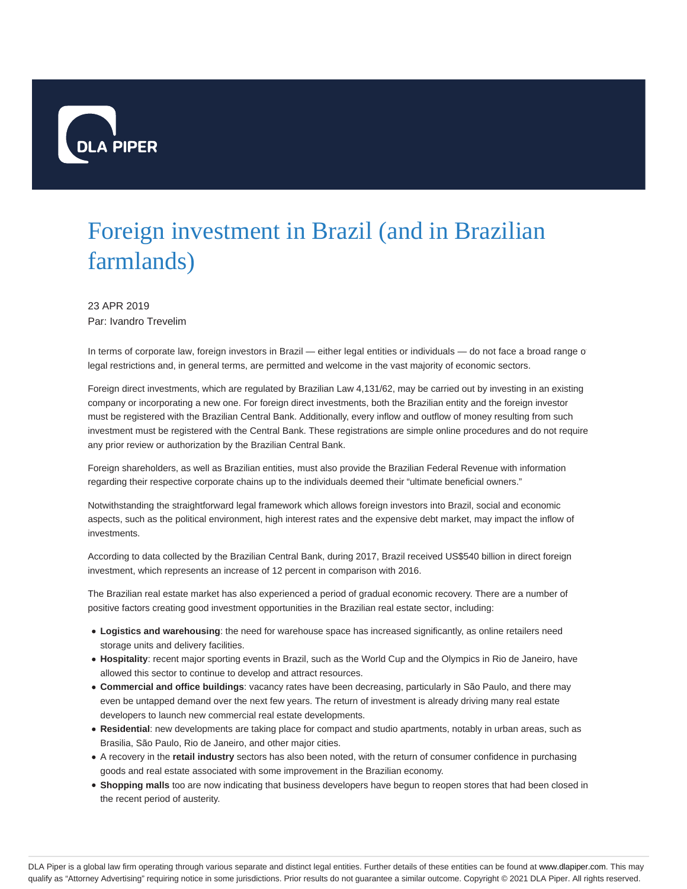

## Foreign investment in Brazil (and in Brazilian farmlands)

23 APR 2019 Par: Ivandro Trevelim

In terms of corporate law, foreign investors in Brazil — either legal entities or individuals — do not face a broad range o legal restrictions and, in general terms, are permitted and welcome in the vast majority of economic sectors.

Foreign direct investments, which are regulated by Brazilian Law 4,131/62, may be carried out by investing in an existing company or incorporating a new one. For foreign direct investments, both the Brazilian entity and the foreign investor must be registered with the Brazilian Central Bank. Additionally, every inflow and outflow of money resulting from such investment must be registered with the Central Bank. These registrations are simple online procedures and do not require any prior review or authorization by the Brazilian Central Bank.

Foreign shareholders, as well as Brazilian entities, must also provide the Brazilian Federal Revenue with information regarding their respective corporate chains up to the individuals deemed their "ultimate beneficial owners."

Notwithstanding the straightforward legal framework which allows foreign investors into Brazil, social and economic aspects, such as the political environment, high interest rates and the expensive debt market, may impact the inflow of investments.

According to data collected by the Brazilian Central Bank, during 2017, Brazil received US\$540 billion in direct foreign investment, which represents an increase of 12 percent in comparison with 2016.

The Brazilian real estate market has also experienced a period of gradual economic recovery. There are a number of positive factors creating good investment opportunities in the Brazilian real estate sector, including:

- **Logistics and warehousing**: the need for warehouse space has increased significantly, as online retailers need storage units and delivery facilities.
- **Hospitality**: recent major sporting events in Brazil, such as the World Cup and the Olympics in Rio de Janeiro, have allowed this sector to continue to develop and attract resources.
- **Commercial and office buildings**: vacancy rates have been decreasing, particularly in São Paulo, and there may even be untapped demand over the next few years. The return of investment is already driving many real estate developers to launch new commercial real estate developments.
- **Residential**: new developments are taking place for compact and studio apartments, notably in urban areas, such as Brasilia, São Paulo, Rio de Janeiro, and other major cities.
- A recovery in the **retail industry** sectors has also been noted, with the return of consumer confidence in purchasing goods and real estate associated with some improvement in the Brazilian economy.
- **Shopping malls** too are now indicating that business developers have begun to reopen stores that had been closed in the recent period of austerity.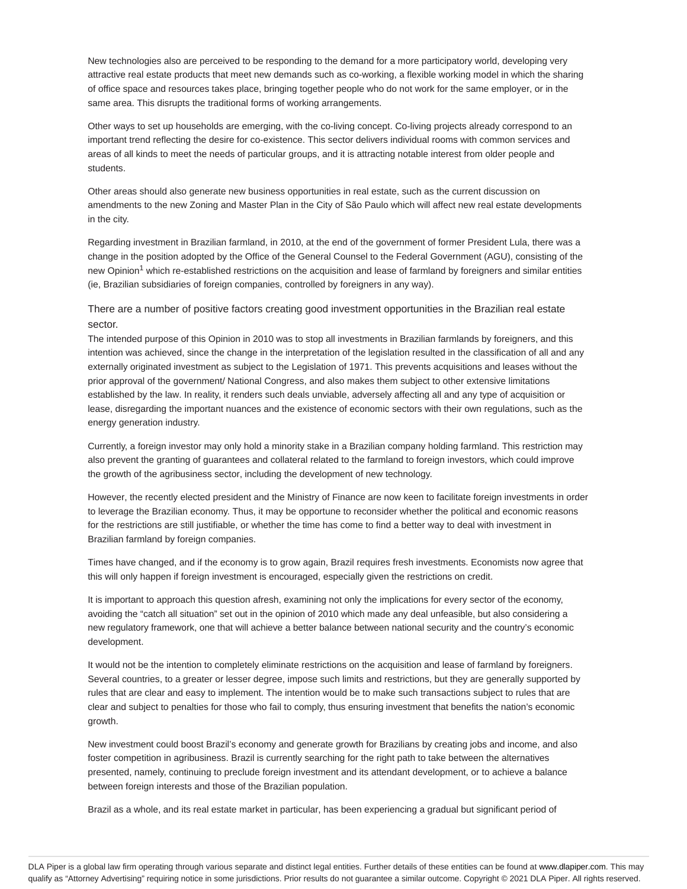New technologies also are perceived to be responding to the demand for a more participatory world, developing very attractive real estate products that meet new demands such as co-working, a flexible working model in which the sharing of office space and resources takes place, bringing together people who do not work for the same employer, or in the same area. This disrupts the traditional forms of working arrangements.

Other ways to set up households are emerging, with the co-living concept. Co-living projects already correspond to an important trend reflecting the desire for co-existence. This sector delivers individual rooms with common services and areas of all kinds to meet the needs of particular groups, and it is attracting notable interest from older people and students.

Other areas should also generate new business opportunities in real estate, such as the current discussion on amendments to the new Zoning and Master Plan in the City of São Paulo which will affect new real estate developments in the city.

Regarding investment in Brazilian farmland, in 2010, at the end of the government of former President Lula, there was a change in the position adopted by the Office of the General Counsel to the Federal Government (AGU), consisting of the new Opinion<sup>1</sup> which re-established restrictions on the acquisition and lease of farmland by foreigners and similar entities (ie, Brazilian subsidiaries of foreign companies, controlled by foreigners in any way).

There are a number of positive factors creating good investment opportunities in the Brazilian real estate sector.

The intended purpose of this Opinion in 2010 was to stop all investments in Brazilian farmlands by foreigners, and this intention was achieved, since the change in the interpretation of the legislation resulted in the classification of all and any externally originated investment as subject to the Legislation of 1971. This prevents acquisitions and leases without the prior approval of the government/ National Congress, and also makes them subject to other extensive limitations established by the law. In reality, it renders such deals unviable, adversely affecting all and any type of acquisition or lease, disregarding the important nuances and the existence of economic sectors with their own regulations, such as the energy generation industry.

Currently, a foreign investor may only hold a minority stake in a Brazilian company holding farmland. This restriction may also prevent the granting of guarantees and collateral related to the farmland to foreign investors, which could improve the growth of the agribusiness sector, including the development of new technology.

However, the recently elected president and the Ministry of Finance are now keen to facilitate foreign investments in order to leverage the Brazilian economy. Thus, it may be opportune to reconsider whether the political and economic reasons for the restrictions are still justifiable, or whether the time has come to find a better way to deal with investment in Brazilian farmland by foreign companies.

Times have changed, and if the economy is to grow again, Brazil requires fresh investments. Economists now agree that this will only happen if foreign investment is encouraged, especially given the restrictions on credit.

It is important to approach this question afresh, examining not only the implications for every sector of the economy, avoiding the "catch all situation" set out in the opinion of 2010 which made any deal unfeasible, but also considering a new regulatory framework, one that will achieve a better balance between national security and the country's economic development.

It would not be the intention to completely eliminate restrictions on the acquisition and lease of farmland by foreigners. Several countries, to a greater or lesser degree, impose such limits and restrictions, but they are generally supported by rules that are clear and easy to implement. The intention would be to make such transactions subject to rules that are clear and subject to penalties for those who fail to comply, thus ensuring investment that benefits the nation's economic growth.

New investment could boost Brazil's economy and generate growth for Brazilians by creating jobs and income, and also foster competition in agribusiness. Brazil is currently searching for the right path to take between the alternatives presented, namely, continuing to preclude foreign investment and its attendant development, or to achieve a balance between foreign interests and those of the Brazilian population.

Brazil as a whole, and its real estate market in particular, has been experiencing a gradual but significant period of